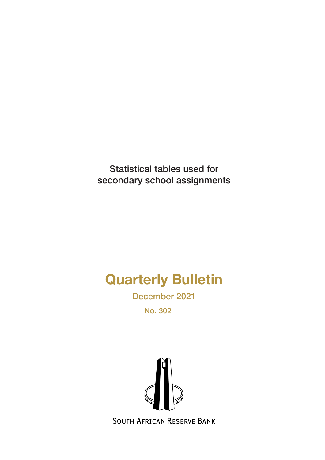Statistical tables used for secondary school assignments

# Quarterly Bulletin

December 2021

No. 302



**SOUTH AFRICAN RESERVE BANK**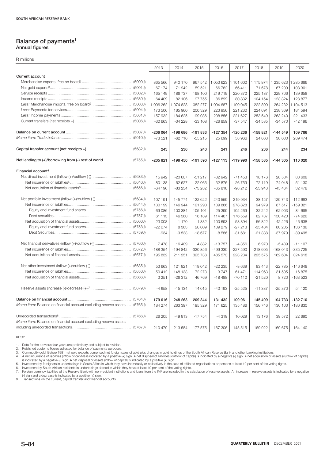#### **Balance of payments1 Annual figures**

R millions

|                                                                           | 2013      | 2014      | 2015      | 2016      | 2017      | 2018      | 2019      | 2020       |
|---------------------------------------------------------------------------|-----------|-----------|-----------|-----------|-----------|-----------|-----------|------------|
| <b>Current account</b>                                                    |           |           |           |           |           |           |           |            |
|                                                                           | 865 566   | 940 170   | 967 542   | 1053623   | 1 101 600 | 1 175 874 | 1 235 623 | 285 686    |
|                                                                           | 67 174    | 71942     | 59 521    | 66 762    | 66 411    | 71 678    | 67 209    | 108 301    |
|                                                                           | 165 149   | 186737    | 198 100   | 219719    | 220 370   | 225 187   | 229 706   | 139 658    |
|                                                                           | 64 409    | 82 106    | 97 755    | 86 899    | 80 832    | 104 154   | 123 324   | 128 877    |
|                                                                           | 1 006 262 | 1074828   | 1 082 277 | 1094687   | 1 109 045 | 222 890   | 264 232   | 104 513    |
|                                                                           | 173 506   | 185 960   | 200 329   | 223 956   | 221 230   | 224 691   | 238 369   | 184 594    |
|                                                                           | 157 932   | 184 625   | 199 036   | 208 856   | 221 627   | 253 549   | 263 240   | 221 433    |
|                                                                           | $-30663$  | $-34228$  | $-33108$  | $-26859$  | $-37547$  | $-34585$  | $-34570$  | $-42196$   |
|                                                                           |           |           |           |           |           |           |           |            |
|                                                                           | $-206064$ | $-19866$  | -191833   | $-127354$ | -120 236  | $-158821$ | $-144549$ | 109 786    |
|                                                                           | $-73521$  | $-62716$  | $-55215$  | 25 699    | 58 966    | 24 663    | 38 600    | 289 474    |
|                                                                           | 243       | 236       | 243       | 241       | 246       | 236       | 244       | 234        |
|                                                                           | $-205821$ | $-198450$ | $-191590$ | $-127113$ | $-119990$ | $-158585$ | $-144305$ | 110 020    |
| Financial account <sup>4</sup>                                            |           |           |           |           |           |           |           |            |
|                                                                           | 15 942    | $-20607$  | $-51217$  | $-32942$  | $-71453$  | 18 176    | 28 5 84   | 83 608     |
|                                                                           | 80 138    | 62 627    | 22 065    | 32 876    | 26 759    | 72 119    | 74 048    | 51 130     |
|                                                                           | $-64196$  | $-83234$  | $-73282$  | $-65818$  | $-98212$  | $-53943$  | $-45464$  | 32 478     |
|                                                                           |           |           |           |           |           |           |           |            |
|                                                                           | 107 191   | 145 774   | 122 622   | 240 559   | 219 934   | 38 157    | 129 743   | $-112683$  |
|                                                                           | 130 199   | 146 944   | 121 290   | 139 866   | 278 828   | 94 979    | 87 517    | $-159321$  |
|                                                                           | 69 086    | 100 384   | 105 101   | 25 399    | 102 269   | 32 242    | $-62903$  | $-84695$   |
|                                                                           | 61 113    | 46 560    | 16 189    | 114 467   | 176 559   | 62 737    | 150 420   | $-74626$   |
|                                                                           | $-23008$  | $-1170$   | 1 3 3 2   | 100 693   | $-58894$  | $-56822$  | 42 2 2 6  | 46 638     |
|                                                                           | $-22074$  | 8 3 6 3   | 20 009    | 109 279   | $-27213$  | $-35484$  | 80 205    | 136 136    |
|                                                                           | $-934$    | $-9533$   | $-18677$  | $-8586$   | $-31681$  | $-21338$  | $-379$    | $-89498$   |
|                                                                           | 7478      | 16 409    | 4882      | $-13757$  | $-4356$   | 6970      | $-5439$   | $-111107$  |
|                                                                           | $-188354$ | $-194842$ | $-320856$ | -499 330  | $-227590$ | $-218605$ | $-168043$ | -335 725   |
|                                                                           | 195 832   | 211 251   | 325 738   | 485 573   | 223 234   | 225 575   | 162 604   | 324 618    |
|                                                                           |           |           |           |           |           |           |           |            |
|                                                                           | 53 663    | 121 821   | 119 042   | $-22235$  | $-8639$   | 93 4 43   | $-22785$  | $-146648$  |
|                                                                           | 50 412    | 148 133   | 72 273    | $-3747$   | 61 471    | 114 963   | $-31505$  | 16875      |
|                                                                           | 3 2 5 1   | $-26312$  | 46 769    | $-18488$  | $-70110$  | $-21520$  | 8720      | $-163523$  |
|                                                                           | $-4658$   | $-15134$  | 14 015    | $-40193$  | $-25525$  | $-11337$  | $-25370$  | 54 120     |
|                                                                           |           |           |           |           |           |           |           |            |
|                                                                           | 179 616   | 248 263   | 209 344   | 131 432   | 109 961   | 145 409   | 104 733   | $-132710$  |
| Memo item: Balance on financial account excluding reserve assets  (5765J) | 184 274   | 263 397   | 195 329   | 171 625   | 135 486   | 156 746   | 130 103   | $-186830$  |
|                                                                           | 26 205    | $-49813$  | $-17754$  | $-4319$   | 10 0 29   | 13 176    | 39 572    | 22 690     |
| Memo item: Balance on financial account excluding reserve assets          |           |           |           |           |           |           |           |            |
|                                                                           | 210 479   | 213 584   | 177 575   | 167 306   | 145 515   | 169 922   | 169 675   | $-164$ 140 |

KB501

1. Data for the previous four years are preliminary and subject to revision.<br>2. Published customs figures adjusted for balance of payments purposes.<br>3. Commodity gold. Before 1981 net gold exports comprised net foreign sal

(-) sign and a decrease is indicated by a positive (+) sign. 8. Transactions on the current, capital transfer and financial accounts.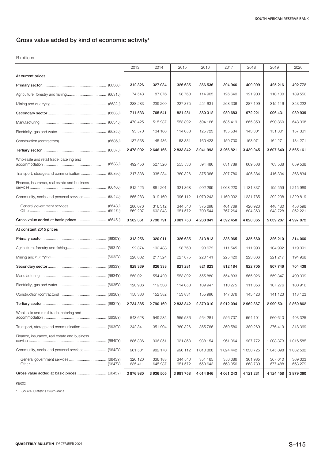## **Gross value added by kind of economic activity**<sup>1</sup>

#### R millions

|                                                 | 2013               | 2014               | 2015               | 2016               | 2017               | 2018               | 2019               | 2020               |
|-------------------------------------------------|--------------------|--------------------|--------------------|--------------------|--------------------|--------------------|--------------------|--------------------|
| At current prices                               |                    |                    |                    |                    |                    |                    |                    |                    |
|                                                 | 312826             | 327 084            | 326 635            | 366 536            | 394 946            | 409 099            | 425 216            | 492 772            |
|                                                 | 74 543             | 87 876             | 98 760             | 114 905            | 126 640            | 121 900            | 110 100            | 139 550            |
|                                                 | 238 283            | 239 209            | 227 875            | 251 631            | 268 306            | 287 199            | 315 116            | 353 222            |
|                                                 | 711 533            | 765 541            | 821 281            | 880 312            | 930 683            | 972 221            | 1 006 431          | 939 939            |
|                                                 | 478 425            | 515 937            | 553 392            | 594 166            | 635 419            | 665 850            | 690 860            | 648 368            |
|                                                 | 95 570             | 104 168            | 114 058            | 125 723            | 135 534            | 143 301            | 151 301            | 157 301            |
|                                                 | 137 538            | 145 436            | 153 831            | 160 423            | 159 730            | 163 071            | 164 271            | 134 271            |
|                                                 | 2 478 002          | 2 646 166          | 2 833 842          | 3 041 993          | 3 266 821          | 3 439 045          | 3 607 640          | 3 565 161          |
| Wholesale and retail trade, catering and        | 492 456            | 527 520            | 555 536            | 594 486            | 631 789            | 669 538            | 703 538            | 659 538            |
|                                                 | 317838             | 338 284            | 360 326            | 375 966            | 397 780            | 406 384            | 416 334            | 368 834            |
| Finance, insurance, real estate and business    | 812 425            | 861 201            | 921 868            | 992 299            | 1 068 220          | 1 131 337          | 1 195 559          | 1 215 969          |
| Community, social and personal services (6642J) | 855 283            | 919 160            | 996 112            | 1 079 243          | 1 169 032          | 1 2 3 1 7 8 5      | 1 292 208          | 1 320 819          |
|                                                 | 286 076<br>569 207 | 316 312<br>602 848 | 344 540<br>651 572 | 375 698<br>703 544 | 401 769<br>767 264 | 426 923<br>804 863 | 448 480<br>843728  | 458 598<br>862 221 |
|                                                 | 3 502 361          | 3738791            | 3 981 758          | 4 288 841          | 4 592 450          | 4 820 365          | 5 039 287          | 4 997 872          |
| At constant 2015 prices                         |                    |                    |                    |                    |                    |                    |                    |                    |
|                                                 | 313 256            | 320 011            | 326 635            | 313813             | 336 965            | 335 660            | 326 210            | 314 060            |
|                                                 | 92 374             | 102 488            | 98 760             | 93 672             | 111 545            | 111 993            | 104 992            | 119 091            |
|                                                 | 220 882            | 217 524            | 227 875            | 220 141            | 225 420            | 223 666            | 221 217            | 194 968            |
|                                                 | 829 339            | 826 333            | 821 281            | 821 823            | 812 184            | 822705             | 807746             | 704 438            |
|                                                 | 558 021            | 554 420            | 553 392            | 555 880            | 554 833            | 565 926            | 559 347            | 490 399            |
|                                                 | 120 986            | 119 530            | 114 058            | 109 947            | 110 275            | 111 356            | 107 276            | 100 916            |
|                                                 | 150 333            | 152 382            | 153 831            | 155 996            | 147 076            | 145 423            | 141 123            | 113 123            |
|                                                 | 2 734 385          | 2790160            | 2 833 842          | 2879010            | 2912094            | 2962867            | 2990501            | 2860862            |
| Wholesale and retail trade, catering and        | 543 628            | 549 235            | 555 536            | 564 281            | 556 707            | 564 101            | 560 610            | 493 325            |
| Transport, storage and communication  (6639Y)   | 342 841            | 351 904            | 360 326            | 365 766            | 369 580            | 380 269            | 376419             | 318 369            |
| Finance, insurance, real estate and business    | 886 386            | 906 851            | 921 868            | 938 154            | 961 364            | 987 772            | 1 008 373          | 1 016 585          |
| Community, social and personal services (6642Y) | 961 531            | 982 170            | 996 112            | 1 010 808          | 1 024 442          | 1 030 725          | 1 045 098          | 1 032 582          |
|                                                 | 326 120<br>635 411 | 336 183<br>645 987 | 344 540<br>651 572 | 351 165<br>659 643 | 356 086<br>668 356 | 361 985<br>668739  | 367 610<br>677 488 | 369 303<br>663 279 |
|                                                 | 3876980            | 3 936 505          | 3 981 758          | 4 014 646          | 4 061 243          | 4 1 2 1 2 3 1      | 4 1 2 4 4 5 8      | 3879360            |

KB602

1. Source: Statistics South Africa.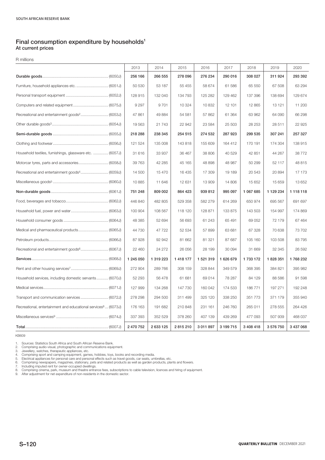#### **Final consumption expenditure by households1 At current prices**

R millions

|                                                                           | 2013      | 2014      | 2015          | 2016      | 2017      | 2018      | 2019      | 2020      |
|---------------------------------------------------------------------------|-----------|-----------|---------------|-----------|-----------|-----------|-----------|-----------|
|                                                                           | 256 166   | 266 555   | 278 096       | 276 234   | 290 016   | 308 027   | 311 924   | 293 392   |
| Furniture, household appliances etc.  (6051J)                             | 50 530    | 53 187    | 55 455        | 58 674    | 61 586    | 65 550    | 67 508    | 63 294    |
|                                                                           | 128 915   | 132 040   | 134 793       | 125 282   | 129 462   | 137 396   | 138 694   | 129 674   |
|                                                                           | 9 2 9 7   | 9701      | 10 324        | 10 832    | 12 101    | 12 8 65   | 13 121    | 11 200    |
| Recreational and entertainment goods <sup>2</sup> (6053J)                 | 47 861    | 49 884    | 54 581        | 57 862    | 61 364    | 63 962    | 64 090    | 66 298    |
|                                                                           | 19 5 63   | 21 743    | 22 942        | 23 5 84   | 25 503    | 28 253    | 28 511    | 22 9 25   |
|                                                                           | 218 288   | 238 345   | 254 515       | 274 532   | 287 923   | 299 535   | 307 241   | 257 327   |
|                                                                           | 121 524   | 135 008   | 143 818       | 155 609   | 164 412   | 170 191   | 174 304   | 138 915   |
| Household textiles, furnishings, glassware etc.  (6057J)                  | 31 616    | 33 937    | 36 467        | 38 806    | 40 529    | 42 851    | 44 267    | 38772     |
| Motorcar tyres, parts and accessories (6058J)                             | 39 763    | 42 285    | 45 165        | 48 898    | 48 987    | 50 299    | 52 117    | 48 815    |
|                                                                           | 14 500    | 15 470    | 16 435        | 17 309    | 19 189    | 20 543    | 20894     | 17 173    |
|                                                                           | 10885     | 11 646    | 12 631        | 13 909    | 14 806    | 15 652    | 15 659    | 13 652    |
|                                                                           | 751 248   | 809 002   | 864 423       | 939 812   | 995 097   | 1 067 685 | 1 129 234 | 1 118 118 |
|                                                                           | 446 840   | 482 805   | 529 358       | 582 279   | 614 269   | 650 974   | 695 567   | 691 697   |
|                                                                           | 100 904   | 108 567   | 118 120       | 128 871   | 133 875   | 143 503   | 154 997   | 174 869   |
|                                                                           | 48 385    | 52 694    | 56 693        | 61 243    | 65 491    | 69 052    | 72 179    | 67 4 64   |
|                                                                           | 44 730    | 47 722    | 52 534        | 57899     | 63 681    | 67 328    | 70 638    | 73 702    |
|                                                                           | 87 928    | 92 942    | 81 662        | 81 321    | 87 687    | 105 160   | 103 508   | 83 795    |
| Recreational and entertainment goods <sup>6</sup> (6067J)                 | 22 460    | 24 27 2   | 26 056        | 28 199    | 30 094    | 31 669    | 32 345    | 26 592    |
|                                                                           | 1 245 050 | 1 319 223 | 1 4 1 8 1 7 7 | 1 521 319 | 1 626 679 | 1 733 172 | 1828351   | 1768 232  |
|                                                                           | 272 904   | 289 766   | 308 159       | 328 844   | 349 579   | 368 395   | 384 821   | 395 982   |
| Household services, including domestic servants (6070J)                   | 52 293    | 56 478    | 61 681        | 69 014    | 78 287    | 84 129    | 88 5 86   | 91 598    |
|                                                                           | 127 999   | 134 268   | 147 730       | 160 042   | 174 533   | 186 771   | 197 271   | 192 248   |
|                                                                           | 278 298   | 294 500   | 311 499       | 325 120   | 338 250   | 351 773   | 371 179   | 355 940   |
| Recreational, entertainment and educational services <sup>8</sup> (6073J) | 176 163   | 191 682   | 210 848       | 231 161   | 246 760   | 265 011   | 278 555   | 264 426   |
|                                                                           | 337 393   | 352 529   | 378 260       | 407 139   | 439 269   | 477 093   | 507 939   | 468 037   |
|                                                                           | 2 470 752 | 2 633 125 | 2815210       | 3 011 897 | 3 199 715 | 3 408 418 | 3576750   | 3 437 068 |

KB609

1. Sources: Statistics South Africa and South African Reserve Bank.<br>2. Comprising audio-visual, photographic and communications equipment.<br>3. Jewellery, watches, therapeutic appliances, etc.<br>4. Comprising sport and camping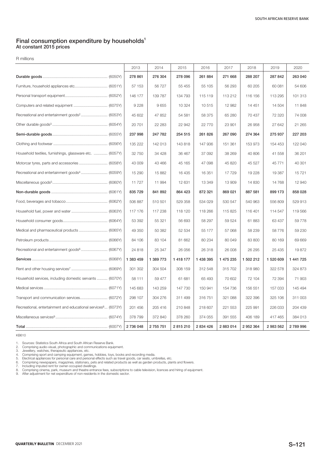#### **Final consumption expenditure by households1 At constant 2015 prices**

R millions

|                                                                           | 2013      | 2014      | 2015          | 2016      | 2017      | 2018      | 2019      | 2020      |
|---------------------------------------------------------------------------|-----------|-----------|---------------|-----------|-----------|-----------|-----------|-----------|
|                                                                           | 278 861   | 276 304   | 278 096       | 261 884   | 271 668   | 288 207   | 287 842   | 263 040   |
|                                                                           | 57 153    | 56 727    | 55 455        | 55 105    | 56 293    | 60 205    | 60 081    | 54 606    |
|                                                                           | 146 177   | 139 787   | 134 793       | 115 119   | 113 212   | 116 156   | 113 295   | 101 313   |
|                                                                           | 9 2 2 8   | 9655      | 10 324        | 10 515    | 12 982    | 14 451    | 14 504    | 11 848    |
| Recreational and entertainment goods <sup>2</sup> (6053Y)                 | 45 602    | 47 852    | 54 581        | 58 375    | 65 280    | 70 437    | 72 320    | 74 008    |
|                                                                           | 20 701    | 22 283    | 22 942        | 22 770    | 23 901    | 26 958    | 27 642    | 21 265    |
|                                                                           | 237 998   | 247 782   | 254 515       | 261 826   | 267 090   | 274 364   | 275 937   | 227 203   |
|                                                                           | 135 222   | 142 013   | 143818        | 147 936   | 151 361   | 153 973   | 154 453   | 122 040   |
| Household textiles, furnishings, glassware etc.  (6057Y)                  | 32 750    | 34 4 28   | 36 467        | 37 092    | 38 269    | 40 806    | 41 558    | 36 201    |
|                                                                           | 43 009    | 43 466    | 45 165        | 47 098    | 45 820    | 45 5 27   | 45 771    | 40 301    |
|                                                                           | 15 290    | 15 882    | 16 4 35       | 16 351    | 17729     | 19 228    | 19 387    | 15 7 21   |
|                                                                           | 11 727    | 11 994    | 12 631        | 13 349    | 13 909    | 14 8 30   | 14 768    | 12 940    |
|                                                                           | 835 729   | 841 892   | 864 423       | 872 321   | 869 021   | 887 581   | 899 173   | 858 028   |
|                                                                           | 506 887   | 510 501   | 529 358       | 534 029   | 530 547   | 540 963   | 556 809   | 529 913   |
|                                                                           | 117 176   | 117 238   | 118 120       | 118 266   | 115 825   | 116 401   | 114 547   | 119 566   |
|                                                                           | 53 392    | 55 321    | 56 693        | 58 297    | 59 524    | 61 883    | 63 437    | 59 778    |
| Medical and pharmaceutical products  (6065Y)                              | 49 350    | 50 382    | 52 534        | 55 177    | 57 068    | 58 239    | 58 776    | 59 230    |
|                                                                           | 84 106    | 83 104    | 81 662        | 80 234    | 80 049    | 83 800    | 80 169    | 69 669    |
| Recreational and entertainment goods <sup>6</sup> (6067Y)                 | 24 818    | 25 347    | 26 056        | 26 318    | 26 008    | 26 29 5   | 25 4 35   | 19872     |
|                                                                           | 1 383 459 | 1 389 773 | 1 4 1 8 1 7 7 | 1 438 395 | 1 475 235 | 1 502 212 | 1 520 609 | 1 441 725 |
|                                                                           | 301 302   | 304 504   | 308 159       | 312 548   | 315 702   | 318 980   | 322 578   | 324 873   |
| Household services, including domestic servants  (6070Y)                  | 58 111    | 59 477    | 61 681        | 65 493    | 70 602    | 72 104    | 72 394    | 71 903    |
|                                                                           | 145 683   | 143 259   | 147 730       | 150 941   | 154 736   | 156 551   | 157 033   | 145 494   |
| Transport and communication services (6072Y)                              | 298 107   | 304 276   | 311 499       | 316 751   | 321 088   | 322 396   | 325 106   | 311 003   |
| Recreational, entertainment and educational services <sup>8</sup> (6073Y) | 201 456   | 205 416   | 210 848       | 218 607   | 221 553   | 225 991   | 226 033   | 204 439   |
|                                                                           | 378 799   | 372 840   | 378 260       | 374 055   | 391 555   | 406 189   | 417 465   | 384 013   |
|                                                                           | 2 736 048 | 2 755 751 | 2815210       | 2 834 426 | 2883014   | 2 952 364 | 2 983 562 | 2789996   |

KB610

1. Sources: Statistics South Africa and South African Reserve Bank.<br>2. Comprising audio-visual, photographic and communications equipment.<br>3. Jewellery, watches, therapeutic appliances, etc.<br>4. Comprising sport and camping